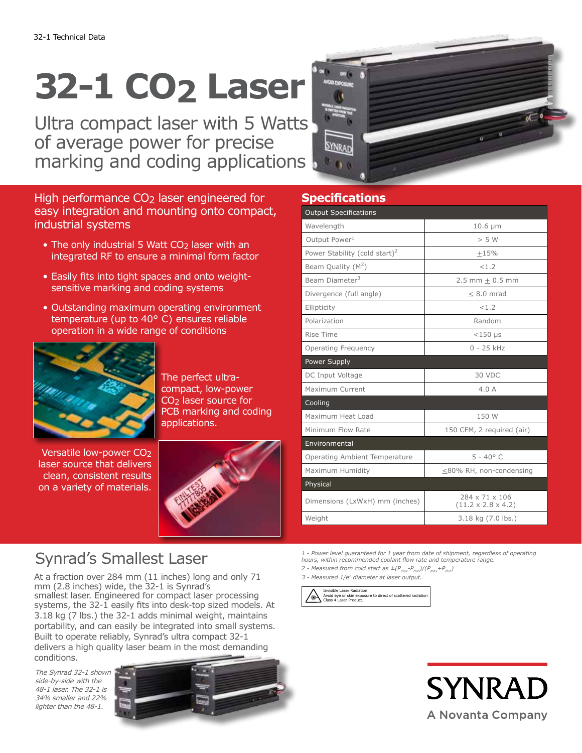# **32-1 CO2 Laser**

Ultra compact laser with 5 Watts of average power for precise marking and coding applications

High performance CO<sub>2</sub> laser engineered for easy integration and mounting onto compact, industrial systems

- The only industrial 5 Watt CO<sub>2</sub> laser with an integrated RF to ensure a minimal form factor
- Easily fits into tight spaces and onto weightsensitive marking and coding systems
- Outstanding maximum operating environment temperature (up to 40° C) ensures reliable operation in a wide range of conditions



The perfect ultracompact, low-power CO2 laser source for PCB marking and coding applications.

Versatile low-power CO2 laser source that delivers clean, consistent results on a variety of materials.



## Synrad's Smallest Laser

At a fraction over 284 mm (11 inches) long and only 71 mm (2.8 inches) wide, the 32-1 is Synrad's smallest laser. Engineered for compact laser processing systems, the  $32-1$  easily fits into desk-top sized models. At 3.18 kg (7 lbs.) the 32-1 adds minimal weight, maintains portability, and can easily be integrated into small systems. Built to operate reliably, Synrad's ultra compact 32-1 delivers a high quality laser beam in the most demanding conditions.

The Synrad 32-1 shown side-by-side with the 48-1 laser. The 32-1 is 34% smaller and 22% lighter than the 48-1.



### **Specifications**

| <b>Output Specifications</b>              |                                                  |
|-------------------------------------------|--------------------------------------------------|
| Wavelength                                | $10.6 \mu m$                                     |
| Output Power <sup>1</sup>                 | > 5 W                                            |
| Power Stability (cold start) <sup>2</sup> | $+15%$                                           |
| Beam Quality $(M^2)$                      | < 1.2                                            |
| Beam Diameter <sup>3</sup>                | $2.5$ mm + 0.5 mm                                |
| Divergence (full angle)                   | $< 8.0$ mrad                                     |
| Ellipticity                               | < 1.2                                            |
| Polarization                              | Random                                           |
| Rise Time                                 | $<$ 150 µs                                       |
| <b>Operating Frequency</b>                | $0 - 25$ kHz                                     |
| Power Supply                              |                                                  |
| DC Input Voltage                          | 30 VDC                                           |
| Maximum Current                           | 4.0A                                             |
| Cooling                                   |                                                  |
| Maximum Heat Load                         | 150 W                                            |
| Minimum Flow Rate                         | 150 CFM, 2 required (air)                        |
| Environmental                             |                                                  |
| Operating Ambient Temperature             | $5 - 40^{\circ}$ C                               |
| Maximum Humidity                          | $\leq$ 80% RH, non-condensing                    |
| Physical                                  |                                                  |
| Dimensions (LxWxH) mm (inches)            | 284 x 71 x 106<br>$(11.2 \times 2.8 \times 4.2)$ |
| Weight                                    | 3.18 kg (7.0 lbs.)                               |

*1 - Power level guaranteed for 1 year from date of shipment, regardless of operating hours, within recommended coolant flow rate and temperature range.*

- *2 Measured from cold start as ±(Pmax-Pmin)/(Pmax+Pmin)*
- *3 Measured 1/e2 diameter at laser output.*